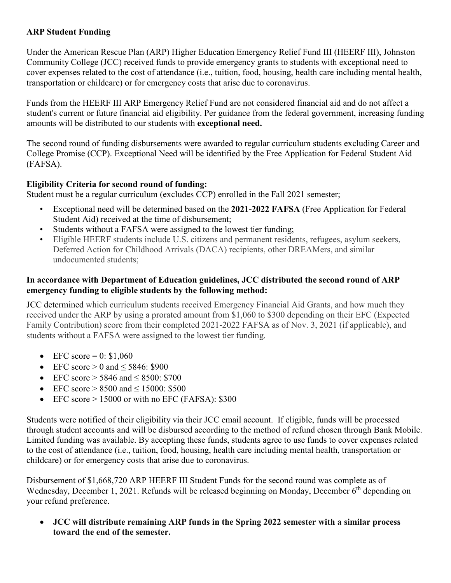## **ARP Student Funding**

Under the American Rescue Plan (ARP) Higher Education Emergency Relief Fund III (HEERF III), Johnston Community College (JCC) received funds to provide emergency grants to students with exceptional need to cover expenses related to the cost of attendance (i.e., tuition, food, housing, health care including mental health, transportation or childcare) or for emergency costs that arise due to coronavirus.

Funds from the HEERF III ARP Emergency Relief Fund are not considered financial aid and do not affect a student's current or future financial aid eligibility. Per guidance from the federal government, increasing funding amounts will be distributed to our students with **exceptional need.**

The second round of funding disbursements were awarded to regular curriculum students excluding Career and College Promise (CCP). Exceptional Need will be identified by the Free Application for Federal Student Aid (FAFSA).

## **Eligibility Criteria for second round of funding:**

Student must be a regular curriculum (excludes CCP) enrolled in the Fall 2021 semester;

- Exceptional need will be determined based on the **2021-2022 FAFSA** (Free Application for Federal Student Aid) received at the time of disbursement;
- Students without a FAFSA were assigned to the lowest tier funding;
- Eligible HEERF students include U.S. citizens and permanent residents, refugees, asylum seekers, Deferred Action for Childhood Arrivals (DACA) recipients, other DREAMers, and similar undocumented students;

## **In accordance with Department of Education guidelines, JCC distributed the second round of ARP emergency funding to eligible students by the following method:**

JCC determined which curriculum students received Emergency Financial Aid Grants, and how much they received under the ARP by using a prorated amount from \$1,060 to \$300 depending on their EFC (Expected Family Contribution) score from their completed 2021-2022 FAFSA as of Nov. 3, 2021 (if applicable), and students without a FAFSA were assigned to the lowest tier funding.

- EFC score =  $0: $1,060$
- EFC score  $> 0$  and  $< 5846$ : \$900
- EFC score  $> 5846$  and  $< 8500$ : \$700
- EFC score  $> 8500$  and  $\leq 15000$ : \$500
- EFC score  $> 15000$  or with no EFC (FAFSA): \$300

Students were notified of their eligibility via their JCC email account. If eligible, funds will be processed through student accounts and will be disbursed according to the method of refund chosen through Bank Mobile. Limited funding was available. By accepting these funds, students agree to use funds to cover expenses related to the cost of attendance (i.e., tuition, food, housing, health care including mental health, transportation or childcare) or for emergency costs that arise due to coronavirus.

Disbursement of \$1,668,720 ARP HEERF III Student Funds for the second round was complete as of Wednesday, December 1, 2021. Refunds will be released beginning on Monday, December 6<sup>th</sup> depending on your refund preference.

• **JCC will distribute remaining ARP funds in the Spring 2022 semester with a similar process toward the end of the semester.**